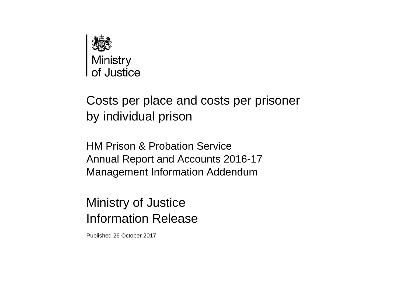

# Costs per place and costs per prisoner by individual prison

HM Prison & Probation Service Annual Report and Accounts 2016-17 Management Information Addendum

# Ministry of Justice Information Release

Published 26 October 2017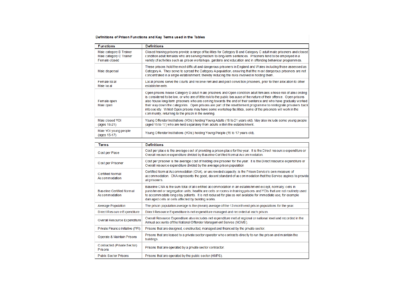## Definitions of Prison Functions and Key Terms used in the Tables

| <b>Functions</b>                                                    | <b>Definitions</b>                                                                                                                                                                                                                                                                                                                                                                                                                                                                                                                                                                                                                              |
|---------------------------------------------------------------------|-------------------------------------------------------------------------------------------------------------------------------------------------------------------------------------------------------------------------------------------------------------------------------------------------------------------------------------------------------------------------------------------------------------------------------------------------------------------------------------------------------------------------------------------------------------------------------------------------------------------------------------------------|
| Male category B Trainer<br>Male category C Trainer<br>Female closed | Closed training prisons provide a range of facilities for Category B and Category C adult male prisoners and closed<br>condition adult females who are serving medium to long-term sentences. Prisoners tend to be employed in a<br>variety of activities such as prison workshops, gardens and education and in offending behaviour programmes.                                                                                                                                                                                                                                                                                                |
| Male dispersal                                                      | These prisons hold the most difficult and dangerous prisoners in England and Wales including those assessed as<br>Category A. They serve to spread the Category A population, ensuring that the most dangerous prisoners are not<br>concentrated in a single establishment, thereby reducing the risks involved in holding them.                                                                                                                                                                                                                                                                                                                |
| Female local<br>Male local                                          | Local prisons serve the courts and receive remand and post conviction prisoners, prior to their allocation to other<br>establishments.                                                                                                                                                                                                                                                                                                                                                                                                                                                                                                          |
| Female open<br>Male open                                            | Open prisons house Category D adult male prisoners and Open condition adult females whose risk of absconding<br>is considered to be low, or who are of little risk to the public because of the nature of their offence. Open prisons<br>also house long-term prisoners who are coming towards the end of their sentence and who have gradually worked<br>their way down the categories. Open prisons are part of the resettlement programme to reintegrate prisoners back<br>into society. Whilst Open prisons may have some workshop facilities, some of the prisoners will work in the<br>community, returning to the prison in the evening. |
| Male closed YOI<br>(ages 18-21)                                     | Young Offender Institutions (YOIs) holding Young Adults (18 to 21 years old). May also include some young people<br>(aged 15 to 17) who are held separately from adults within the establishment.                                                                                                                                                                                                                                                                                                                                                                                                                                               |
| Male YOI young people<br>(ages 15-17)                               | Young Offender Institutions (YOIs) holding Young People (15 to 17 years old).                                                                                                                                                                                                                                                                                                                                                                                                                                                                                                                                                                   |

| <b>Terms</b>                                      | <b>Definitions</b>                                                                                                                                                                                                                                                                                                                                                                                       |
|---------------------------------------------------|----------------------------------------------------------------------------------------------------------------------------------------------------------------------------------------------------------------------------------------------------------------------------------------------------------------------------------------------------------------------------------------------------------|
| Cost per Place                                    | Cost per place is the average cost of providing a prison place for the year. It is the Direct resource expenditure or<br>Overall resource expenditure divided by Baseline Certified Normal Accommodation.                                                                                                                                                                                                |
| Cost per Prisoner                                 | Cost per prisoner is the average cost of holding one prisoner for the year. It is the Direct resource expenditure or<br>Overall resource expenditure divided by the average prison population                                                                                                                                                                                                            |
| <b>Certified Normal</b><br>Accommodation          | Certified Normal Accommodation (CNA), or uncrowded capacity, is the Prison Service's own measure of<br>accommodation. CNA represents the good, decent standard of accommodation that the Service aspires to provide<br>all prisoners.                                                                                                                                                                    |
| <b>Baseline Certified Normal</b><br>Accommodation | Baseline CNA is the sum total of all certified accommodation in an establishment except, normally, cells in<br>punishment or segregation units; healthcare cells or rooms in training prisons and YOIs that are not routinely used<br>to accommodate long stay patients. It is not reduced for places not available for immediate use, for example<br>damaged cells or cells affected by building works. |
| <b>Average Population</b>                         | The prison population average is the (mean) average of the 12-month end prison populations for the year.                                                                                                                                                                                                                                                                                                 |
| Direct Resource Expenditure                       | Direct Resource Expenditure is net expenditure managed and recorded at each prison.                                                                                                                                                                                                                                                                                                                      |
| Overall Resource Expenditure                      | Overall Resource Expenditure also includes net expenditure met at regional or national level and recorded in the<br>Annual accounts of the National Offender Management Service (NOMS).                                                                                                                                                                                                                  |
| Private Finance Initiative (PFI)                  | Prisons that are designed, constructed, managed and financed by the private sector.                                                                                                                                                                                                                                                                                                                      |
| Operate & Maintain Prisons                        | Prisons that are leased to a private sector operator who contracts directly to run the prison and maintain the<br>buildings.                                                                                                                                                                                                                                                                             |
| Contracted (Private Sector)<br><b>Prisons</b>     | Prisons that are operated by a private sector contractor.                                                                                                                                                                                                                                                                                                                                                |
| <b>Public Sector Prisons</b>                      | Prisons that are operated by the public sector (HMPS).                                                                                                                                                                                                                                                                                                                                                   |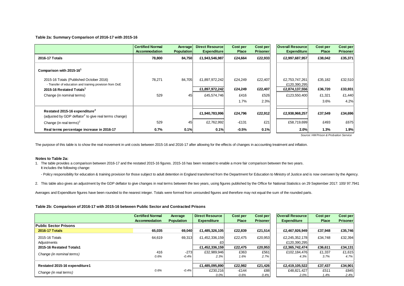#### **Table 2a: Summary Comparison of 2016-17 with 2015-16**

|                                                                                                                                                                                                    | <b>Certified Normal</b><br>Accommodation | Average<br><b>Population</b> | <b>Direct Resourcel</b><br><b>Expenditure</b>   | Cost per<br><b>Place</b>   | <b>Cost per</b><br><b>Prisoner</b> | <b>Overall Resource</b><br><b>Expenditure</b>                    | Cost per<br><b>Place</b>     | <b>Cost per</b><br><b>Prisoner</b> |
|----------------------------------------------------------------------------------------------------------------------------------------------------------------------------------------------------|------------------------------------------|------------------------------|-------------------------------------------------|----------------------------|------------------------------------|------------------------------------------------------------------|------------------------------|------------------------------------|
| 2016-17 Totals                                                                                                                                                                                     | 78,800                                   | 84,750                       | £1,943,546,987                                  | £24,664                    | £22,933                            | £2,997,687,957                                                   | £38,042                      | £35,371                            |
| Comparison with 2015-16<br>2015-16 Totals (Published October 2016)<br>- Transfer of education and training provision from DoE<br>2015-16 Restated Totals <sup>1</sup><br>Change (in nominal terms) | 78,271<br>529                            | 84,705<br>45                 | £1,897,972,242<br>£1,897,972,242<br>£45,574,746 | £24,249<br>£24,249<br>£416 | £22,407<br>£22,407<br>£526         | £2,753,747,261<br>£120,390,295<br>£2,874,137,556<br>£123,550,400 | £35,182<br>£36,720<br>£1,321 | £32,510<br>£33,931<br>£1,440       |
|                                                                                                                                                                                                    |                                          |                              |                                                 | 1.7%                       | 2.3%                               |                                                                  | 3.6%                         | 4.2%                               |
| Restated 2015-16 expenditure <sup>2</sup><br>(adjusted by GDP deflator <sup>2</sup> to give real terms change)                                                                                     |                                          |                              | £1,940,783,996                                  | £24,796                    | £22,912                            | £2,938,968,257                                                   | £37,549                      | £34,696                            |
| Change (in real terms) <sup>2</sup>                                                                                                                                                                | 529                                      | 45                           | £2,762,992                                      | $-E131$                    | £21                                | £58,719,699                                                      | £493                         | £675                               |
| Real terms percentage increase in 2016-17                                                                                                                                                          | 0.7%                                     | 0.1%                         | 0.1%                                            | $-0.5%$                    | 0.1%                               | 2.0%                                                             | 1.3%                         | 1.9%                               |

*Source: HM Prison & Probation Service*

The purpose of this table is to show the real movement in unit costs between 2015-16 and 2016-17 after allowing for the effects of changes in accounting treatment and inflation.

#### **Notes to Table 2a:**

1. The table provides a comparison between 2016-17 and the restated 2015-16 figures. 2015-16 has been restated to enable a more fair comparison between the two years. It includes the following change:

- Policy responsibility for education & training provision for those subject to adult detention in England transferred from the Department for Education to Ministry of Justice and is now overseen by the Agency.

2. This table also gives an adjustment by the GDP deflator to give changes in real terms between the two years, using figures published by the Office for National Statistics on 29 September 2017: 100/ 97.7941

Averages and Expenditure figures have been rounded to the nearest integer. Totals were formed from unrounded figures and therefore may not equal the sum of the rounded parts.

### **Table 2b: Comparison of 2016-17 with 2015-16 between Public Sector and Contracted Prisons**

|                               | <b>Certified Normal</b><br>Accommodation | Average<br><b>Population</b> | <b>Direct Resource</b><br><b>Expenditure</b> | Cost per<br><b>Place</b> | Cost per<br>Prisoner | <b>Overall Resource</b><br><b>Expenditure</b> | Cost per<br><b>Place</b> | <b>Cost per</b><br><b>Prisoner</b> |
|-------------------------------|------------------------------------------|------------------------------|----------------------------------------------|--------------------------|----------------------|-----------------------------------------------|--------------------------|------------------------------------|
| <b>Public Sector Prisons</b>  |                                          |                              |                                              |                          |                      |                                               |                          |                                    |
| <b>2016-17 Totals</b>         | 65,035                                   | 69,040                       | £1,485,326,105                               | £22.839                  | £21.514              | £2,467,926,949                                | £37.948                  | £35,746                            |
| 2015-16 Totals                | 64,619                                   | 69,313                       | £1,452,336,159                               | £22.475                  | £20,953              | £2,245,352,178                                | £34,748                  | £32,394                            |
| Adjustments                   |                                          |                              | £0                                           |                          |                      | £120,390,295                                  |                          |                                    |
| 2015-16 Restated Totals1      |                                          |                              | £1,452,336,159                               | £22,475                  | £20,953              | £2,365,742,474                                | £36.611                  | £34,131                            |
| Change (in nominal terms)     | 416                                      | $-273$                       | £32,989,946                                  | £363                     | £561                 | £102.184.476                                  | £1,337                   | £1,615                             |
|                               | 0.6%                                     | $-0.4%$                      | 2.3%                                         | 1.6%                     | 2.7%                 | 4.3%                                          | 3.7%                     | 4.7%                               |
| Restated 2015-16 expenditure1 |                                          |                              | £1,485,095,890                               | £22,982                  | £21,426              | £2,419,105,522                                | £37,437                  | £34,901                            |
|                               |                                          |                              |                                              |                          |                      |                                               |                          |                                    |
| Change (in real terms)        | 0.6%                                     | $-0.4%$                      | £230,216                                     | $-E144$                  | £88                  | £48,821,427                                   | £511                     | £845                               |
|                               |                                          |                              | $0.0\%$                                      | $-0.6%$                  | 0.4%                 | 2.0%                                          | 1.4%                     | 2.4%                               |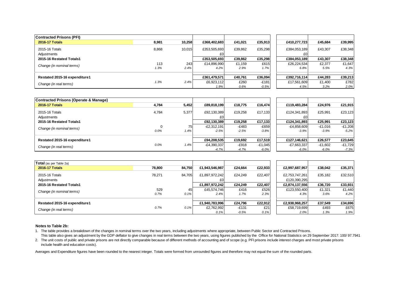| <b>Contracted Prisons (PFI)</b> |       |        |                     |         |         |                     |         |         |
|---------------------------------|-------|--------|---------------------|---------|---------|---------------------|---------|---------|
| <b>2016-17 Totals</b>           | 8,981 | 10,258 | £368,402,683        | £41.021 | £35,913 | £410.277.723        | £45.684 | £39,995 |
| 2015-16 Totals<br>Adjustments   | 8,868 | 10,015 | £353,505,693<br>£OI | £39,862 | £35,298 | £384,053,189<br>£0. | £43,307 | £38,348 |
| 2015-16 Restated Totals1        |       |        | £353,505,693        | £39,862 | £35,298 | £384,053,189        | £43,307 | £38,348 |
| Change (in nominal terms)       | 113   | 243    | £14,896,990         | £1,159  | £615    | £26,224,534         | £2,377  | £1,647  |
|                                 | 1.3%  | 2.4%   | 4.2%                | 2.9%    | 1.7%    | 6.8%                | 5.5%    | 4.3%    |
|                                 |       |        |                     |         |         |                     |         |         |
| Restated 2015-16 expenditure1   |       |        | £361,479,571        | £40,761 | £36,094 | £392.716.114        | £44.283 | £39,213 |
| Change (in real terms)          | 1.3%  | 2.4%   | £6,923,112          | £260    | $-E181$ | £17,561,609         | £1,400  | £782    |
|                                 |       |        | 1.9%                | 0.6%    | $-0.5%$ | 4.5%                | 3.2%    | 2.0%    |

| <b>Contracted Prisons (Operate &amp; Manage)</b> |       |       |               |         |           |               |           |           |
|--------------------------------------------------|-------|-------|---------------|---------|-----------|---------------|-----------|-----------|
| <b>2016-17 Totals</b>                            | 4,784 | 5,452 | £89.818.199   | £18,775 | £16,474   | £119,483,284  | £24,976   | £21,915   |
| 2015-16 Totals                                   | 4,784 | 5,377 | £92,130,389   | £19.258 | £17,133   | £124,341,893  | £25,991   | £23,123   |
| Adjustments                                      |       |       |               |         |           |               |           |           |
| 2015-16 Restated Totals1                         |       |       | £92,130,389   | £19,258 | £17,133   | £124.341.893  | £25.991   | £23,123   |
| Change (in nominal terms)                        |       | 75    | $-E2,312,191$ | $-E483$ | $-E659$   | $-E4,858,609$ | $-£1,016$ | $-E1,208$ |
|                                                  | 0.0%  | 1.4%  | $-2.5%$       | $-2.5%$ | $-3.8%$   | $-3.9%$       | $-3.9%$   | $-5.2%$   |
|                                                  |       |       |               |         |           |               |           |           |
| Restated 2015-16 expenditure1                    |       |       | £94,208,535   | £19.692 | £17,519   | £127.146.621  | £26.577   | £23,645   |
| Change (in real terms)                           | 0.0%  | 1.4%  | $-E4,390,337$ | -£918   | $-£1.045$ | $-E7,663,337$ | $-£1,602$ | $-E1,729$ |
|                                                  |       |       | $-4.7%$       | $-4.7%$ | $-6.0\%$  | $-6.0\%$      | $-6.0%$   | $-7.3%$   |

| Total (as per Table 2a)       |             |            |                      |                    |              |                                |                |                |
|-------------------------------|-------------|------------|----------------------|--------------------|--------------|--------------------------------|----------------|----------------|
| <b>2016-17 Totals</b>         | 78,800      | 84,750     | £1,943,546,987       | £24.664            | £22,933      | £2,997,687,957                 | £38.042        | £35,371        |
| 2015-16 Totals<br>Adjustments | 78.271      | 84,705     | £1,897,972,242<br>£0 | £24.249            | £22.407      | £2,753,747,261<br>£120,390,295 | £35,182        | £32,510        |
| 2015-16 Restated Totals1      |             |            | £1,897,972,242       | £24.249            | £22,407      | £2,874,137,556                 | £36,720        | £33,931        |
| Change (in nominal terms)     | 529<br>0.7% | 45<br>0.1% | £45,574,746<br>2.4%  | £416<br>1.7%       | £526<br>2.3% | £123,550,400<br>4.3%           | £1,321<br>3.6% | £1,440<br>4.2% |
| Restated 2015-16 expenditure1 |             |            | £1,940,783,996       | £24.796            | £22,912      | £2,938,968,257                 | £37,549        | £34,696        |
| Change (in real terms)        | 0.7%        | 0.1%       | £2.762.992<br>0.1%   | $-£131$<br>$-0.5%$ | £21<br>0.1%  | £58,719,699<br>2.0%            | £493<br>1.3%   | £675<br>1.9%   |

### **Notes to Table 2b:**

- 1. The table provides a breakdown of the changes in nominal terms over the two years, including adjustments where appropriate, between Public Sector and Contracted Prisons. This table also gives an adjustment by the GDP deflator to give changes in real terms between the two years, using figures published by the Office for National Statistics on 29 September 2017: 100/ 97.7941
- 2. The unit costs of public and private prisons are not directly comparable because of different methods of accounting and of scope (e.g. PFI prisons include interest charges and most private prisons include health and education costs).

Averages and Expenditure figures have been rounded to the nearest integer. Totals were formed from unrounded figures and therefore may not equal the sum of the rounded parts.